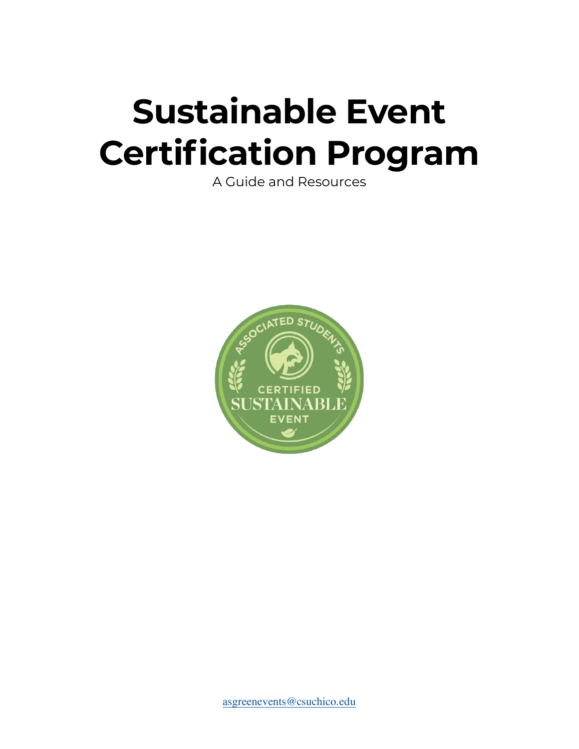# **Sustainable Event Certification Program**

A Guide and Resources

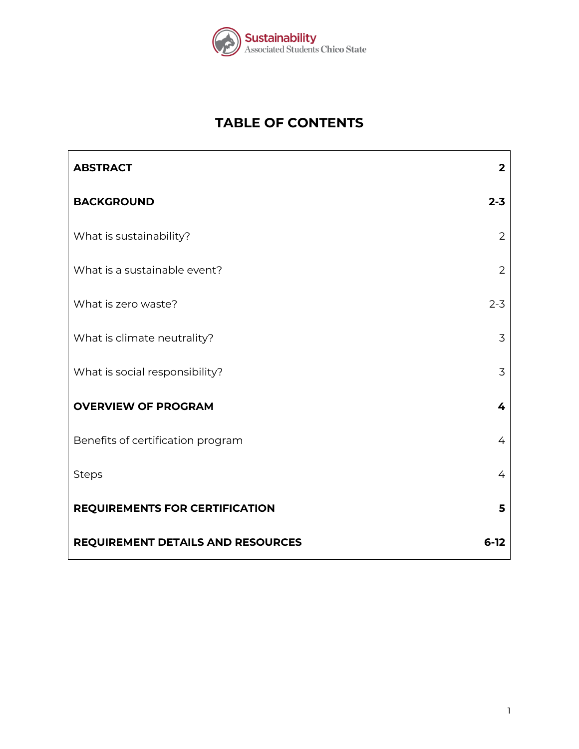

# **TABLE OF CONTENTS**

| <b>ABSTRACT</b>                       | $\overline{2}$ |
|---------------------------------------|----------------|
| <b>BACKGROUND</b>                     | $2 - 3$        |
| What is sustainability?               | $\overline{2}$ |
| What is a sustainable event?          | $\overline{2}$ |
| What is zero waste?                   | $2 - 3$        |
| What is climate neutrality?           | 3              |
| What is social responsibility?        | 3              |
| <b>OVERVIEW OF PROGRAM</b>            | 4              |
| Benefits of certification program     | 4              |
| <b>Steps</b>                          | 4              |
| <b>REQUIREMENTS FOR CERTIFICATION</b> | 5              |
| REQUIREMENT DETAILS AND RESOURCES     | $6-12$         |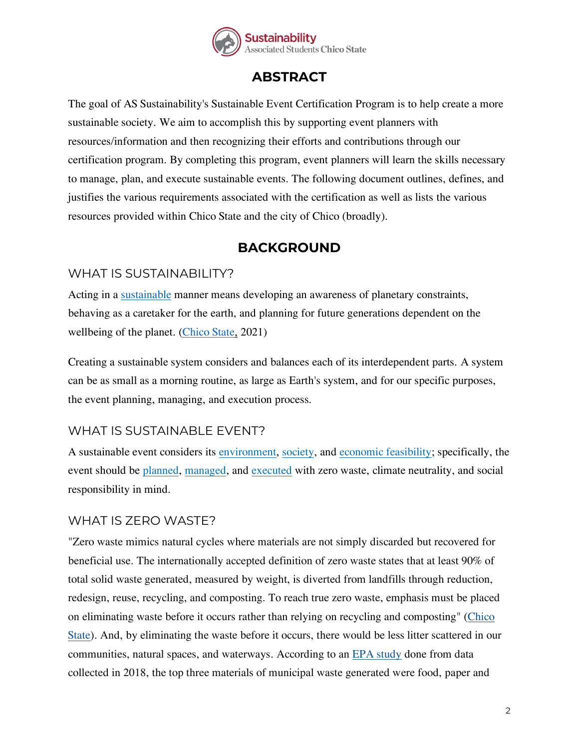

# **ABSTRACT**

The goal of AS Sustainability's Sustainable Event Certification Program is to help create a more sustainable society. We aim to accomplish this by supporting event planners with resources/information and then recognizing their efforts and contributions through our certification program. By completing this program, event planners will learn the skills necessary to manage, plan, and execute sustainable events. The following document outlines, defines, and justifies the various requirements associated with the certification as well as lists the various resources provided within Chico State and the city of Chico (broadly).

# **BACKGROUND**

## WHAT IS SUSTAINABILITY?

Acting in a [sustainable](https://www.youtube.com/watch?v=eec0UYGIeo4) manner means developing an awareness of planetary constraints, behaving as a caretaker for the earth, and planning for future generations dependent on the wellbeing of the planet. [\(Chico State,](https://www.csuchico.edu/sustainability/academics.shtml) 2021)

Creating a sustainable system considers and balances each of its interdependent parts. A system can be as small as a morning routine, as large as Earth's system, and for our specific purposes, the event planning, managing, and execution process.

## WHAT IS SUSTAINABLE EVENT?

A sustainable event considers its [environment,](https://www.youtube.com/watch?v=5eTCZ9L834s) [society,](https://youtube.com/playlist?list=PLtxXWPhZ_N5IJBFyDxGqMulaVusOOXzP-) and [economic feasibility;](https://youtube.com/playlist?list=PLtxXWPhZ_N5JKMZjo4zKpcEh-bsIU92gv) specifically, the event should be [planned,](https://www.youtube.com/playlist?list=PLtxXWPhZ_N5Igt7lGoX1NbhHHqVNp129d) [managed,](https://www.youtube.com/watch?v=802yQd8TNf8) and [executed](https://www.youtube.com/watch?v=802yQd8TNf8) with zero waste, climate neutrality, and social responsibility in mind.

## WHAT IS ZERO WASTE?

"Zero waste mimics natural cycles where materials are not simply discarded but recovered for beneficial use. The internationally accepted definition of zero waste states that at least 90% of total solid waste generated, measured by weight, is diverted from landfills through reduction, redesign, reuse, recycling, and composting. To reach true zero waste, emphasis must be placed on eliminating waste before it occurs rather than relying on recycling and composting" [\(Chico](https://www.csuchico.edu/sustainability/zero-waste.shtml)  [State\)](https://www.csuchico.edu/sustainability/zero-waste.shtml). And, by eliminating the waste before it occurs, there would be less litter scattered in our communities, natural spaces, and waterways. According to an [EPA study](https://www.epa.gov/facts-and-figures-about-materials-waste-and-recycling/national-overview-facts-and-figures-materials) done from data collected in 2018, the top three materials of municipal waste generated were food, paper and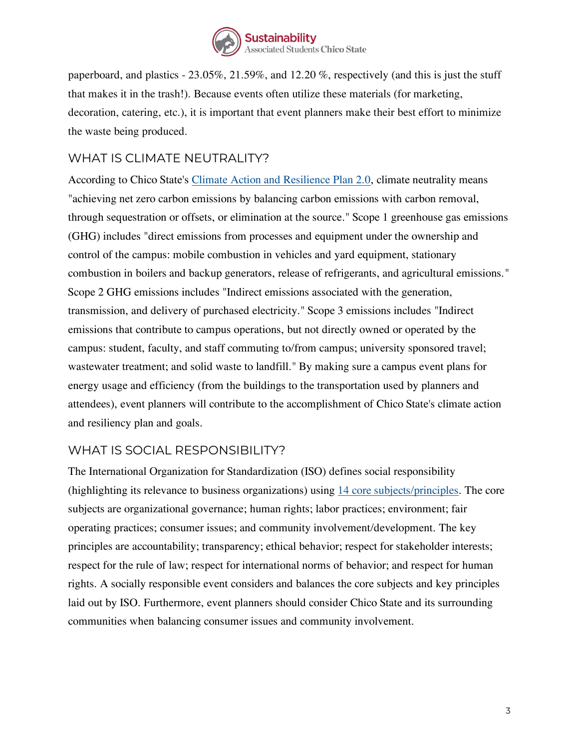

paperboard, and plastics - 23.05%, 21.59%, and 12.20 %, respectively (and this is just the stuff that makes it in the trash!). Because events often utilize these materials (for marketing, decoration, catering, etc.), it is important that event planners make their best effort to minimize the waste being produced.

## WHAT IS CLIMATE NEUTRALITY?

According to Chico State's [Climate Action and Resilience Plan 2.0,](https://www.csuchico.edu/sustainability/_assets/documents/csuc-climate-actoin-resilience-feb21-final.pdf) climate neutrality means "achieving net zero carbon emissions by balancing carbon emissions with carbon removal, through sequestration or offsets, or elimination at the source." Scope 1 greenhouse gas emissions (GHG) includes "direct emissions from processes and equipment under the ownership and control of the campus: mobile combustion in vehicles and yard equipment, stationary combustion in boilers and backup generators, release of refrigerants, and agricultural emissions." Scope 2 GHG emissions includes "Indirect emissions associated with the generation, transmission, and delivery of purchased electricity." Scope 3 emissions includes "Indirect emissions that contribute to campus operations, but not directly owned or operated by the campus: student, faculty, and staff commuting to/from campus; university sponsored travel; wastewater treatment; and solid waste to landfill." By making sure a campus event plans for energy usage and efficiency (from the buildings to the transportation used by planners and attendees), event planners will contribute to the accomplishment of Chico State's climate action and resiliency plan and goals.

## WHAT IS SOCIAL RESPONSIBILITY?

The International Organization for Standardization (ISO) defines social responsibility (highlighting its relevance to business organizations) using [14 core subjects/principles.](https://asq.org/quality-resources/social-responsibility) The core subjects are organizational governance; human rights; labor practices; environment; fair operating practices; consumer issues; and community involvement/development. The key principles are accountability; transparency; ethical behavior; respect for stakeholder interests; respect for the rule of law; respect for international norms of behavior; and respect for human rights. A socially responsible event considers and balances the core subjects and key principles laid out by ISO. Furthermore, event planners should consider Chico State and its surrounding communities when balancing consumer issues and community involvement.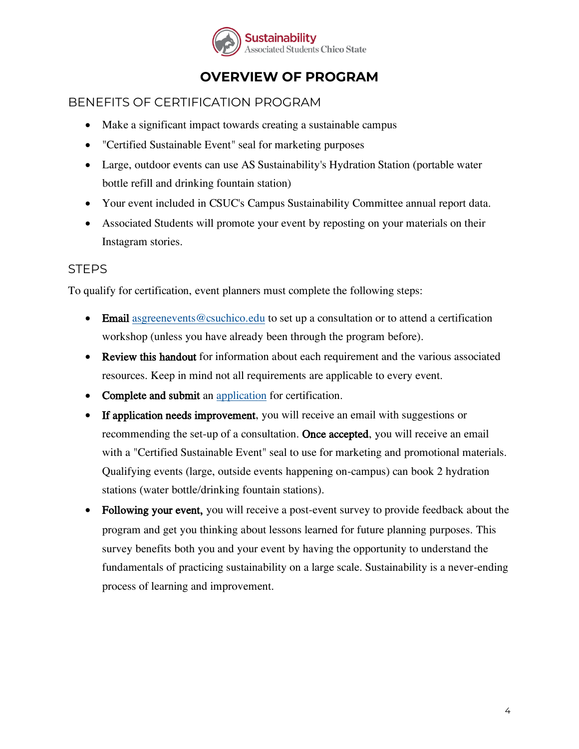

# **OVERVIEW OF PROGRAM**

## BENEFITS OF CERTIFICATION PROGRAM

- Make a significant impact towards creating a sustainable campus
- "Certified Sustainable Event" seal for marketing purposes
- Large, outdoor events can use AS Sustainability's Hydration Station (portable water bottle refill and drinking fountain station)
- Your event included in CSUC's Campus Sustainability Committee annual report data.
- Associated Students will promote your event by reposting on your materials on their Instagram stories.

#### **STEPS**

To qualify for certification, event planners must complete the following steps:

- Email [asgreenevents@csuchico.edu](mailto:asgreenevents@csuchico.edu) to set up a consultation or to attend a certification workshop (unless you have already been through the program before).
- Review this handout for information about each requirement and the various associated resources. Keep in mind not all requirements are applicable to every event.
- Complete and submit an [application](https://forms.office.com/r/T603rAQagL) for certification.
- If application needs improvement, you will receive an email with suggestions or recommending the set-up of a consultation. Once accepted, you will receive an email with a "Certified Sustainable Event" seal to use for marketing and promotional materials. Qualifying events (large, outside events happening on-campus) can book 2 hydration stations (water bottle/drinking fountain stations).
- Following your event, you will receive a post-event survey to provide feedback about the program and get you thinking about lessons learned for future planning purposes. This survey benefits both you and your event by having the opportunity to understand the fundamentals of practicing sustainability on a large scale. Sustainability is a never-ending process of learning and improvement.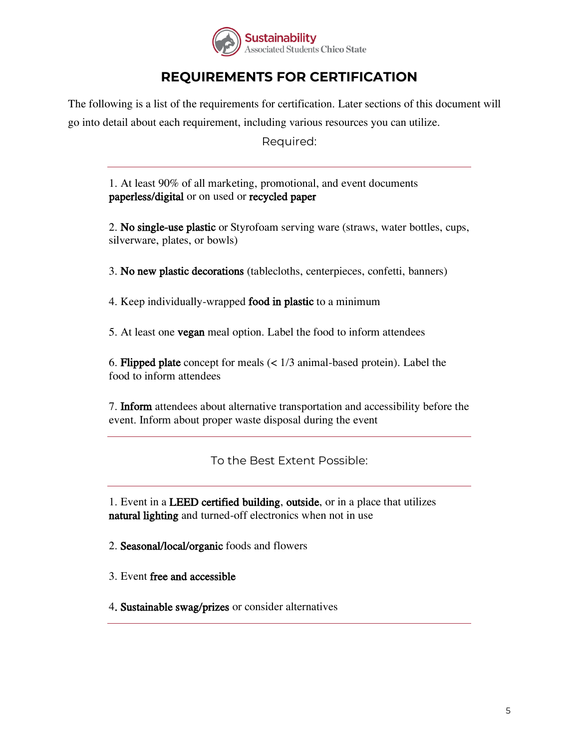

# **REQUIREMENTS FOR CERTIFICATION**

The following is a list of the requirements for certification. Later sections of this document will go into detail about each requirement, including various resources you can utilize.

Required:

1. At least 90% of all marketing, promotional, and event documents paperless/digital or on used or recycled paper

2. No single-use plastic or Styrofoam serving ware (straws, water bottles, cups, silverware, plates, or bowls)

3. No new plastic decorations (tablecloths, centerpieces, confetti, banners)

4. Keep individually-wrapped food in plastic to a minimum

5. At least one vegan meal option. Label the food to inform attendees

6. Flipped plate concept for meals (< 1/3 animal-based protein). Label the food to inform attendees

7. Inform attendees about alternative transportation and accessibility before the event. Inform about proper waste disposal during the event

To the Best Extent Possible:

1. Event in a LEED certified building, outside, or in a place that utilizes natural lighting and turned-off electronics when not in use

2. Seasonal/local/organic foods and flowers

3. Event free and accessible

4. Sustainable swag/prizes or consider alternatives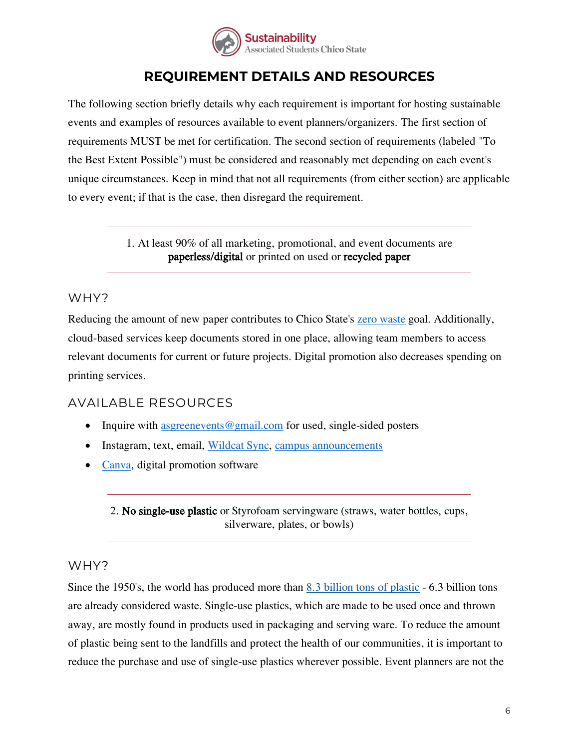

# **REQUIREMENT DETAILS AND RESOURCES**

The following section briefly details why each requirement is important for hosting sustainable events and examples of resources available to event planners/organizers. The first section of requirements MUST be met for certification. The second section of requirements (labeled "To the Best Extent Possible") must be considered and reasonably met depending on each event's unique circumstances. Keep in mind that not all requirements (from either section) are applicable to every event; if that is the case, then disregard the requirement.

> 1. At least 90% of all marketing, promotional, and event documents are paperless/digital or printed on used or recycled paper

## WHY?

Reducing the amount of new paper contributes to Chico State's [zero waste](https://www.csuchico.edu/sustainability/zero-waste.shtml) goal. Additionally, cloud-based services keep documents stored in one place, allowing team members to access relevant documents for current or future projects. Digital promotion also decreases spending on printing services.

## AVAILABLE RESOURCES

- Inquire with [asgreenevents@gmail.com](mailto:asgreenevents@gmail.com) for used, single-sided posters
- Instagram, text, email, [Wildcat](https://csuchico.campuslabs.com/engage/) Sync, [campus announcements](https://www.csuchico.edu/calendar/)
- [Canva,](https://www.canva.com/tools/logo-maker-q1/?irgwc=1&utm_medium=affiliate&utm_source=MaxBounty.com%20ULC&clickId=wypWFN2PFxyIWgq3nK2jWxo7UkBXc0QHwS1Z1M0) digital promotion software

2. No single-use plastic or Styrofoam servingware (straws, water bottles, cups, silverware, plates, or bowls)

## WHY?

Since the 1950's, the world has produced more than [8.3 billion tons of plastic](https://phys.org/news/2017-07-billion-metric-tons-scientists-total.html?utm_source=TrendMD&utm_medium=cpc&utm_campaign=Phys.org_TrendMD_1&tid=HovpioWZf+ajMFFcD3AbkMBV3zpBOhLcbGdufLe5QAKbgircKcdrYZpKels5tm+onDEc3A==) - 6.3 billion tons are already considered waste. Single-use plastics, which are made to be used once and thrown away, are mostly found in products used in packaging and serving ware. To reduce the amount of plastic being sent to the landfills and protect the health of our communities, it is important to reduce the purchase and use of single-use plastics wherever possible. Event planners are not the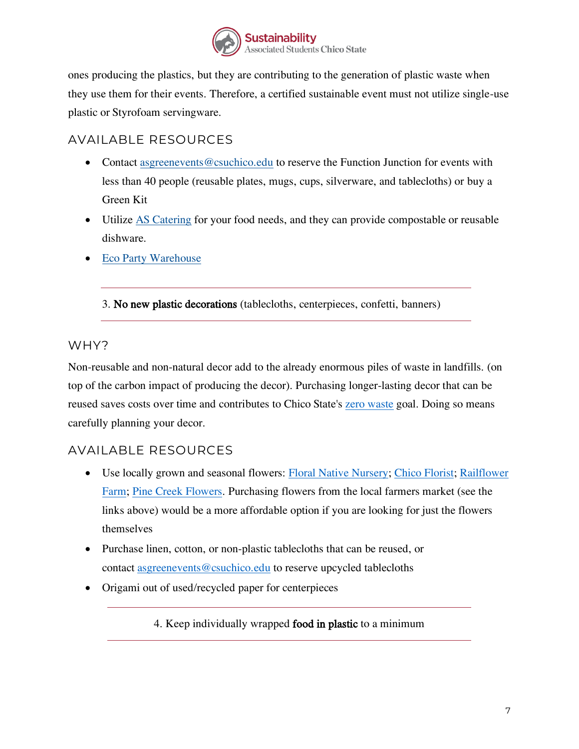

ones producing the plastics, but they are contributing to the generation of plastic waste when they use them for their events. Therefore, a certified sustainable event must not utilize single-use plastic or Styrofoam servingware.

## AVAILABLE RESOURCES

- Contact [asgreenevents@csuchico.edu](mailto:asgreenevents@csuchico.edu) to reserve the Function Junction for events with less than 40 people (reusable plates, mugs, cups, silverware, and tablecloths) or buy a Green Kit
- Utilize [AS Catering](https://as.csuchico.edu/dining/catering) for your food needs, and they can provide compostable or reusable dishware.
- [Eco Party Warehouse](https://ecopartywarehouse.com/)

3. No new plastic decorations (tablecloths, centerpieces, confetti, banners)

## WHY?

Non-reusable and non-natural decor add to the already enormous piles of waste in landfills. (on top of the carbon impact of producing the decor). Purchasing longer-lasting decor that can be reused saves costs over time and contributes to Chico State's [zero waste](https://www.csuchico.edu/sustainability/zero-waste.shtml) goal. Doing so means carefully planning your decor.

## AVAILABLE RESOURCES

- Use locally grown and seasonal flowers: Floral [Native Nursery;](https://floralnativenursery.com/) [Chico Florist;](https://www.chicoflorist.net/farm-fresh-local-flowers/) Railflower [Farm;](https://www.railflowerfarm.com/) [Pine Creek Flowers.](https://www.pinecreekflowers.com/) Purchasing flowers from the local farmers market (see the links above) would be a more affordable option if you are looking for just the flowers themselves
- Purchase linen, cotton, or non-plastic tablecloths that can be reused, or contact [asgreenevents@csuchico.edu](mailto:asgreenevents@csuchico.edu) to reserve upcycled tablecloths
- Origami out of used/recycled paper for centerpieces

4. Keep individually wrapped food in plastic to a minimum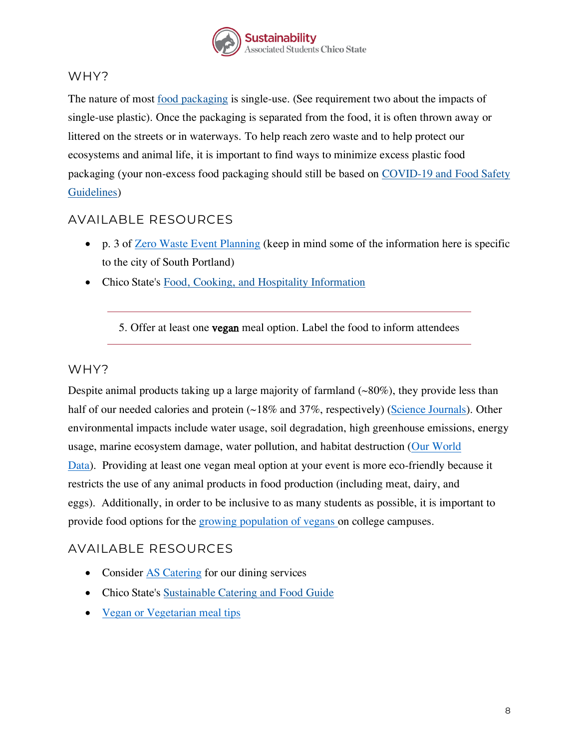

#### WHY?

The nature of most [food packaging](https://foodprint.org/issues/the-environmental-impact-of-food-packaging/) is single-use. (See requirement two about the impacts of single-use plastic). Once the packaging is separated from the food, it is often thrown away or littered on the streets or in waterways. To help reach zero waste and to help protect our ecosystems and animal life, it is important to find ways to minimize excess plastic food packaging (your non-excess food packaging should still be based on [COVID-19 and Food Safety](https://www.csuchico.edu/ehs/_assets/documents/food-serving-guidelines-during-covid-1.pdf)  [Guidelines\)](https://www.csuchico.edu/ehs/_assets/documents/food-serving-guidelines-during-covid-1.pdf)

## AVAILABLE RESOURCES

- p. 3 of [Zero Waste Event Planning](https://www.southportland.org/files/4614/9338/9520/Zero_Waste_Guidenance_doc_8-10-16_final.pdf) (keep in mind some of the information here is specific to the city of South Portland)
- Chico State's [Food, Cooking, and Hospitality Information](https://www.csuchico.edu/fres/food_hospitality.shtml)

5. Offer at least one vegan meal option. Label the food to inform attendees

#### WHY?

Despite animal products taking up a large majority of farmland  $(\sim 80\%)$ , they provide less than half of our needed calories and protein (~18% and 37%, respectively) [\(Science Journals\)](https://josephpoore.com/Science%20360%206392%20987%20-%20Accepted%20Manuscript.pdf). Other environmental impacts include water usage, soil degradation, high greenhouse emissions, energy usage, marine ecosystem damage, water pollution, and habitat destruction [\(Our World](https://ourworldindata.org/environmental-impacts-of-food)  [Data\)](https://ourworldindata.org/environmental-impacts-of-food). Providing at least one vegan meal option at your event is more eco-friendly because it restricts the use of any animal products in food production (including meat, dairy, and eggs). Additionally, in order to be inclusive to as many students as possible, it is important to provide food options for the [growing population of vegans](https://www.forbes.com/sites/christopherelliott/2020/01/10/this-is-the-real-reason-colleges-are-going-vegan/?sh=4bbaa6aa6124) on college campuses.

## AVAILABLE RESOURCES

- Consider [AS Catering](https://as.csuchico.edu/dining/catering) for our dining services
- Chico State's [Sustainable Catering and Food Guide](https://as.csuchico.edu/assets/resources/Department/Sustainability/SUS21-Sustainable-Catering-Food-Resources.pdf)
- [Vegan or Vegetarian meal tips](https://www.dreameventsandcatering.com/planning-a-vegan-or-vegetarian-menu/)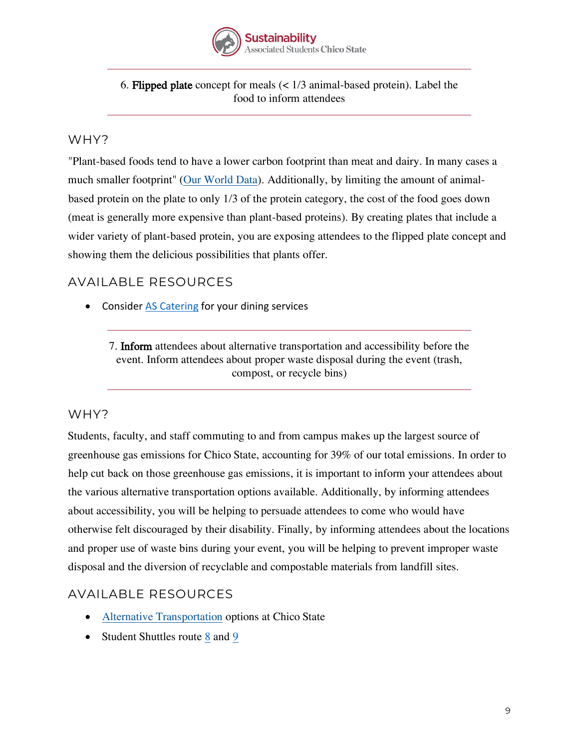

#### 6. Flipped plate concept for meals (< 1/3 animal-based protein). Label the food to inform attendees

## WHY?

"Plant-based foods tend to have a lower carbon footprint than meat and dairy. In many cases a much smaller footprint" [\(Our World Data\)](https://ourworldindata.org/environmental-impacts-of-food#less-meat-is-nearly-always-better-for-your-carbon-footprint-than-sustainable-meat). Additionally, by limiting the amount of animalbased protein on the plate to only 1/3 of the protein category, the cost of the food goes down (meat is generally more expensive than plant-based proteins). By creating plates that include a wider variety of plant-based protein, you are exposing attendees to the flipped plate concept and showing them the delicious possibilities that plants offer.

## AVAILABLE RESOURCES

• Consider **[AS Catering](https://as.csuchico.edu/dining/catering)** for your dining services

7. Inform attendees about alternative transportation and accessibility before the event. Inform attendees about proper waste disposal during the event (trash, compost, or recycle bins)

#### WHY?

Students, faculty, and staff commuting to and from campus makes up the largest source of greenhouse gas emissions for Chico State, accounting for 39% of our total emissions. In order to help cut back on those greenhouse gas emissions, it is important to inform your attendees about the various alternative transportation options available. Additionally, by informing attendees about accessibility, you will be helping to persuade attendees to come who would have otherwise felt discouraged by their disability. Finally, by informing attendees about the locations and proper use of waste bins during your event, you will be helping to prevent improper waste disposal and the diversion of recyclable and compostable materials from landfill sites.

## AVAILABLE RESOURCES

- [Alternative Transportation](https://www.csuchico.edu/sustainability/ride/index.shtml) options at Chico State
- Student Shuttles route [8](http://www.blinetransit.com/Schedules/Route-8-Nord/index.html) and [9](http://www.blinetransit.com/Schedules/Route-9-Warner--Oak--9c-Cedar-Loop/index.html)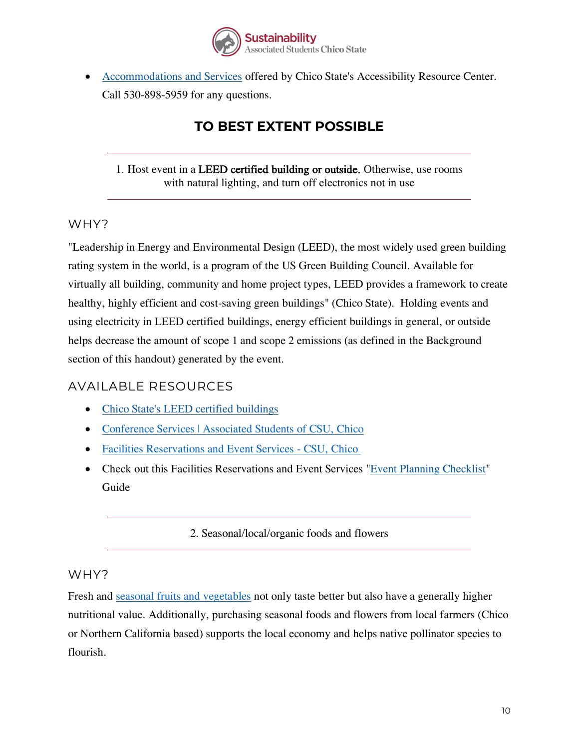

• [Accommodations and Services](https://www.csuchico.edu/arc/students/accommodations-services1.shtml) offered by Chico State's Accessibility Resource Center. Call 530-898-5959 for any questions.

# **TO BEST EXTENT POSSIBLE**

#### 1. Host event in a LEED certified building or outside. Otherwise, use rooms with natural lighting, and turn off electronics not in use

## WHY?

"Leadership in Energy and Environmental Design (LEED), the most widely used green building rating system in the world, is a program of the US Green Building Council. Available for virtually all building, community and home project types, LEED provides a framework to create healthy, highly efficient and cost-saving green buildings" (Chico State). Holding events and using electricity in LEED certified buildings, energy efficient buildings in general, or outside helps decrease the amount of scope 1 and scope 2 emissions (as defined in the Background section of this handout) generated by the event.

## AVAILABLE RESOURCES

- [Chico State's LEED certified buildings](https://www.csuchico.edu/fms/leed-buildings.shtml)
- [Conference Services | Associated Students of CSU, Chico](https://as.csuchico.edu/bmu/conference-services)
- [Facilities Reservations and Event Services -](https://www.csuchico.edu/fres/) CSU, Chico
- Check out this Facilities Reservations and Event Services ["Event Planning Checklist"](https://www.csuchico.edu/fres/_assets/documents/event-plan-checklist.pdf) Guide

#### 2. Seasonal/local/organic foods and flowers

#### WHY?

Fresh and [seasonal fruits and vegetables](https://simplyecostore.com/blogs/news/benefits-of-buying-seasonal-foods#:~:text=Benefits%20of%20buying%20seasonal%20foods%201%20Better%20taste.,for%20farm%20produce%20that%20is%20out%20of%20season.) not only taste better but also have a generally higher nutritional value. Additionally, purchasing seasonal foods and flowers from local farmers (Chico or Northern California based) supports the local economy and helps native pollinator species to flourish.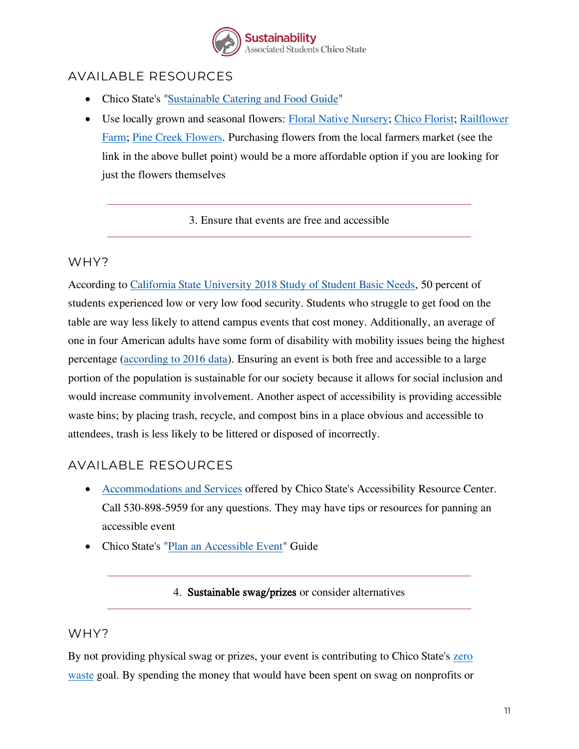

## AVAILABLE RESOURCES

- Chico State's ["Sustainable Catering and Food](https://as.csuchico.edu/assets/resources/Department/Sustainability/SUS21-Sustainable-Catering-Food-Resources.pdf) Guide"
- Use locally grown and seasonal flowers: Floral [Native Nursery;](https://floralnativenursery.com/) [Chico Florist;](https://www.chicoflorist.net/farm-fresh-local-flowers/) Railflower [Farm;](https://www.railflowerfarm.com/) [Pine Creek Flowers.](https://www.pinecreekflowers.com/) Purchasing flowers from the local farmers market (see the link in the above bullet point) would be a more affordable option if you are looking for just the flowers themselves

3. Ensure that events are free and accessible

## WHY?

According to [California State University 2018 Study of Student Basic Needs,](https://www.csuchico.edu/basic-needs/_assets/documents/18-19-annual-report.pdf) 50 percent of students experienced low or very low food security. Students who struggle to get food on the table are way less likely to attend campus events that cost money. Additionally, an average of one in four American adults have some form of disability with mobility issues being the highest percentage [\(according to 2016 data\)](https://www.cdc.gov/ncbddd/disabilityandhealth/infographic-disability-impacts-all.html). Ensuring an event is both free and accessible to a large portion of the population is sustainable for our society because it allows for social inclusion and would increase community involvement. Another aspect of accessibility is providing accessible waste bins; by placing trash, recycle, and compost bins in a place obvious and accessible to attendees, trash is less likely to be littered or disposed of incorrectly.

## AVAILABLE RESOURCES

- [Accommodations and Services](https://www.csuchico.edu/arc/students/accommodations-services1.shtml) offered by Chico State's Accessibility Resource Center. Call 530-898-5959 for any questions. They may have tips or resources for panning an accessible event
- Chico State's ["Plan an Accessible Event"](https://www.csuchico.edu/fres/_assets/documents/plan-an-accessible-event.pdf) Guide

4. Sustainable swag/prizes or consider alternatives

## WHY?

By not providing physical swag or prizes, your event is contributing to Chico State's [zero](https://www.csuchico.edu/sustainability/zero-waste.shtml)  [waste](https://www.csuchico.edu/sustainability/zero-waste.shtml) goal. By spending the money that would have been spent on swag on nonprofits or